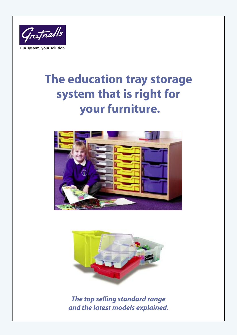

# **The education tray storage system that is right for your furniture.**





*The top selling standard range and the latest models explained.*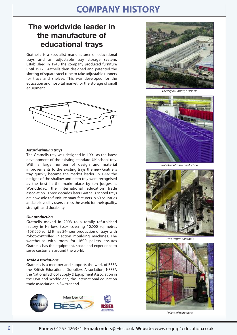# **COMPANY HISTORY**

#### **The worldwide leader in the manufacture of educational trays**

Gratnells is a specialist manufacturer of educational trays and an adjustable tray storage system. Established in 1940 the company produced furniture until 1972. Gratnells then designed and patented the slotting of square steel tube to take adjustable runners for trays and shelves. This was developed for the education and hospital market for the storage of small equipment.



#### *Award-winning trays*

The Gratnells tray was designed in 1991 as the latest development of the existing standard UK school tray. With a large number of design and material improvements to the existing trays the new Gratnells tray quickly became the market leader. In 1992 the designs of the shallow and deep tray were recognised as the best in the marketplace by ten judges at Worlddidac, the international education trade association. Three decades later Gratnells school trays are now sold to furniture manufacturersin 60 countries and are loved by users acrossthe world for their quality, strength and durability.

#### *Our production*

Gratnells moved in 2003 to a totally refurbished factory in Harlow, Essex covering 10,000 sq metres (108,000 sq ft.) It has 24-hour production of trays with robot-controlled injection moulding machines. The warehouse with room for 1600 pallets ensures Gratnells has the equipment, space and experience to serve customers around the world.

#### *Trade Associations*

Gratnells is a member and supports the work of BESA the British Educational Suppliers Association, NSSEA the National School Supply & Equipment Association in the USA and Worlddidac, the international education trade association in Switzerland.





*Factory in Harlow, Essex. UK*



*Robot-controlled production*



*Twin impression tools*



*Palletised warehouse*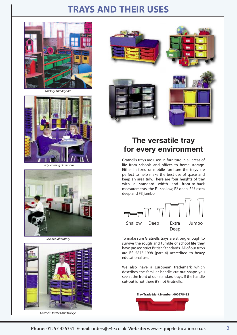### **TRAYS AND THEIR USES**



*Nursery and daycare*



*Early learning classroom*







*Gratnells frames and trolleys*



#### **The versatile tray for every environment**

Gratnells trays are used in furniture in all areas of life from schools and offices to home storage. Either in fixed or mobile furniture the trays are perfect to help make the best use of space and keep an area tidy. There are four heights of tray with a standard width and front-to-back measurements, the F1 shallow, F2 deep, F25 extra deep and F3 jumbo.



To make sure Gratnells trays are strong enough to survive the rough and tumble of school life they have passed strict British Standards. All of our trays are BS 5873-1998 (part 4) accredited to heavy educational use.

We also have a European trademark which describes the familiar handle cut-out shape you see at the front of our standard trays. If the handle cut-out is not there it's not Gratnells.

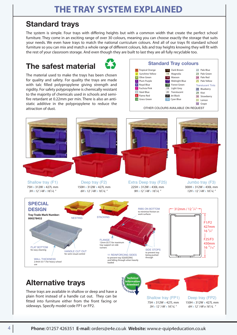#### **Standard trays**

The system is simple. Four trays with differing heights but with a common width that create the perfect school furniture. They come in an exciting range of over 30 colours, meaning you can choose exactly the storage that suits your needs. We even have trays to match the national curriculum colours. And all of our trays fit standard school furniture so you can mix and match a whole range of different colours, lids and tray heights knowing they will fit with the rest of your classroom storage. And even though they are built to last they are all fully recyclable too.

#### **The safest material**  $\bullet$  **Standard** Tray colours



The material used to make the trays has been chosen for quality and safety. For quality the trays are made with talc filled polypropylene giving strength and rigidity. For safety polypropylene is chemically resistant to the majority of chemicals used in schools and semifire retardant at 0.22mm per min. There is also an antistatic additive in the polypropylene to reduce the attraction of dust.







### **Alternative trays**

These trays are available in shallow or deep and have a plain front instead of a handle cut out. They can be fitted into furniture either from the front facing or sideways. Specify model code FP1 or FP2.

Shallow tray (FP1) 75H x 312W x 427L mm *3H x 12 <sup>1</sup> /4W x 163 /4L "*

Deep tray (FP2) 150H x 312W x 427L mm *6H x 12 <sup>1</sup> /4W x 163 /4L "*

**tnells**

**.com/trad<sup>e</sup>**

**Information download**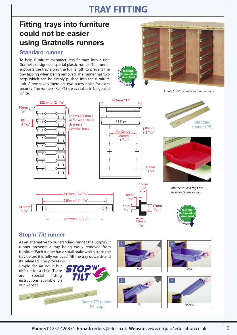# **TRAY FITTING**

**granells**

**.com/trad<sup>e</sup>**

**Technical Information download**

#### **Fitting trays into furniture could not be easier using Gratnells runners**

#### **Standard runner**

To help furniture manufacturers fit trays into a unit Gratnells designed a special plastic runner. The runner supports the tray along the full length to prevent the tray tipping when being removed. The runner has two pegs which can be simply pushed into the furniture unit. Alternatively there are two screw holes for extra security. The runners (Ref P5) are available in beige and white.



*Empty furniture unit with fitted runners*



#### **Stop'n'Tilt runner**

As an alternative to our standard runner the Stop'n'*Tilt* runner prevents a tray being easily removed from furniture. Each runner has a small brake which stops the tray before it is fully removed. Tilt the tray upwards and

it's released. The process is simple for an adult but difficult for a child. There are special fitting instructions available on our website.

Stop'n'*Tilt* runner

(P5 stop)







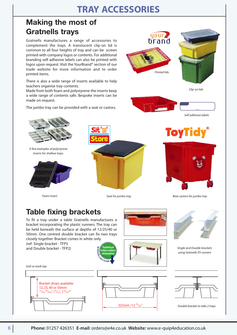# **TRAY ACCESSORIES**

### **Making the most of Gratnells trays**

Gratnells manufactures a range of accessories to complement the trays. A translucent clip-on lid is common to all four heights of tray and can be screen printed with company logos or contents. For additional branding self adhesive labels can also be printed with logos upon request. Visit the YourBrand® section of our trade website for more information and to order printed items.

There is also a wide range of inserts available to help teachers organise tray contents.

Made from both foam and polystyrene the inserts keep a wide range of contents safe. Bespoke inserts can be made on request.

The jumbo tray can be provided with a seat or castors.





*Clip-on lids*





*A few examples of polystyrene inserts for shallow trays.*





*Foam insert. Seat for jumbo tray*



*Bear castors for jumbo tray*

### **Table fixing brackets**

To fit a tray under a table Gratnells manufactures a bracket incorporating the plastic runners. The tray can be held beneath the surface at depths of 12/25/40 or 50mm. One centred double bracket can fix two trays closely together. Bracket comes in white only.

> **gratnells**

(ref: Single bracket - TFP5 and Double bracket - TFP2)



*Single and Double brackets using Gratnells P5 runners*

*Unit or work top*





*Double bracket to take 2 trays*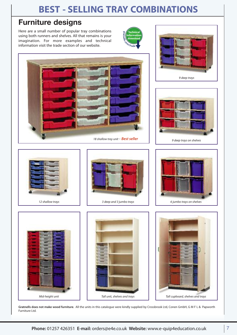# **BEST - SELLING TRAY COMBINATIONS**

### **Furniture designs**

Here are a small number of popular tray combinations using both runners and shelves. All that remains is your imagination. For more examples and technical information visit the trade section of our website.











**Gratnells does not make wood furniture**. All the units in this catalogue were kindly supplied by Crossbrook Ltd, Conen GmbH, G M F L & Papworth Furniture Ltd.

*Mid-height unit Tall unit, shelves and trays Tall cupboard, shelves and trays*